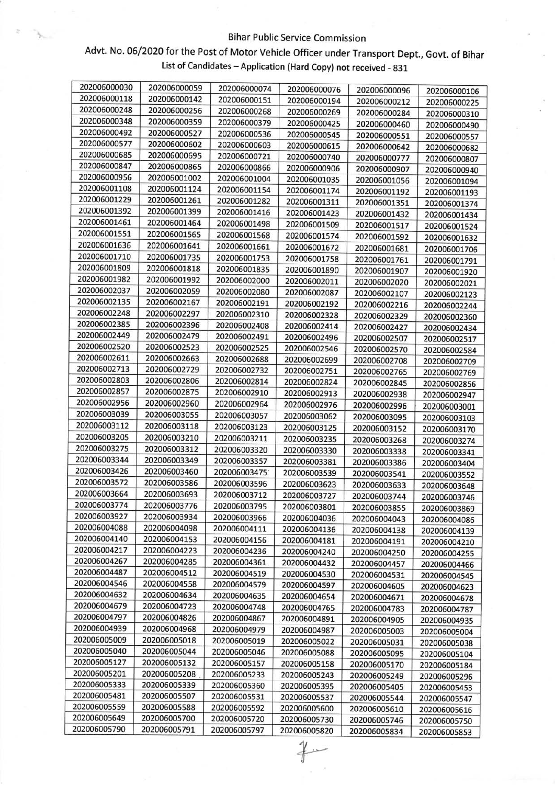## Bihar Public Service Commission

## Advt. No. 06/2020 for the Post of Motor Vehicle officer under Transport Dept., Govt. of Bihar List of Candidates - Application (Hard Copy) not received - 831

š.

| 202006000030 | 202006000059 | 202006000074 | 202006000076 |              |              |
|--------------|--------------|--------------|--------------|--------------|--------------|
| 202006000118 | 202006000142 | 202006000151 | 202006000194 | 202006000096 | 202006000106 |
| 202006000248 | 202006000256 | 202006000268 | 202006000269 | 202006000212 | 202006000225 |
| 202006000348 | 202006000359 | 202006000379 |              | 202006000284 | 202006000310 |
| 202006000492 | 202006000527 | 202006000536 | 202006000425 | 202006000460 | 202006000490 |
| 202006000577 | 202006000602 | 202006000603 | 202006000545 | 202006000551 | 202006000557 |
| 202006000685 | 202006000695 | 202006000721 | 202006000615 | 202006000642 | 202006000682 |
| 202006000847 | 202006000865 | 202006000866 | 202006000740 | 202006000777 | 202006000807 |
| 202006000956 | 202006001002 | 202006001004 | 202006000906 | 202006000907 | 202006000940 |
| 202006001108 | 202006001124 | 202006001154 | 202006001035 | 202006001056 | 202006001094 |
| 202006001229 | 202006001261 | 202006001282 | 202006001174 | 202006001192 | 202006001193 |
| 202006001392 | 202006001399 | 202006001416 | 202006001311 | 202006001351 | 202006001374 |
| 202006001461 | 202006001464 | 202006001498 | 202006001423 | 202006001432 | 202006001434 |
| 202006001551 | 202006001565 |              | 202006001509 | 202006001517 | 202006001524 |
| 202006001636 | 202006001641 | 202006001568 | 202006001574 | 202006001592 | 202006001632 |
| 202006001710 | 202006001735 | 202006001661 | 202006001672 | 202006001681 | 202006001706 |
| 202006001809 |              | 202006001753 | 202006001758 | 202006001761 | 202006001791 |
| 202006001982 | 202006001818 | 202006001835 | 202006001890 | 202006001907 | 202006001920 |
| 202006002037 | 202006001992 | 202006002000 | 202006002011 | 202006002020 | 202006002021 |
| 202006002135 | 202006002059 | 202006002080 | 202006002087 | 202006002107 | 202006002123 |
| 202006002248 | 202006002167 | 202006002191 | 202006002192 | 202006002216 | 202006002244 |
| 202006002385 | 202006002297 | 202006002310 | 202006002328 | 202006002329 | 202006002360 |
| 202006002449 | 202006002396 | 202006002408 | 202006002414 | 202006002427 | 202006002434 |
| 202006002520 | 202006002479 | 202006002491 | 202006002496 | 202006002507 | 202006002517 |
| 202006002611 | 202006002523 | 202006002525 | 202006002546 | 202006002570 | 202006002584 |
| 202006002713 | 202006002663 | 202006002688 | 202006002699 | 202006002708 | 202006002709 |
|              | 202006002729 | 202006002732 | 202006002751 | 202006002765 | 202006002769 |
| 202006002803 | 202006002806 | 202006002814 | 202006002824 | 202006002845 | 202006002856 |
| 202006002857 | 202006002875 | 202006002910 | 202006002913 | 202006002938 | 202006002947 |
| 202006002956 | 202006002960 | 202006002964 | 202006002976 | 202006002996 | 202006003001 |
| 202006003039 | 202006003055 | 202006003057 | 202006003062 | 202006003095 | 202006003103 |
| 202006003112 | 202006003118 | 202006003123 | 202006003125 | 202006003152 | 202006003170 |
| 202006003205 | 202006003210 | 202006003211 | 202006003235 | 202006003268 | 202006003274 |
| 202006003275 | 202006003312 | 202006003320 | 202006003330 | 202006003338 | 202006003341 |
| 202006003344 | 202006003349 | 202006003357 | 202006003381 | 202006003386 | 202006003404 |
| 202006003426 | 202006003460 | 202006003475 | 202006003539 | 202006003541 | 202006003552 |
| 202006003572 | 202006003586 | 202006003596 | 202006003623 | 202006003633 | 202006003648 |
| 202006003664 | 202006003693 | 202006003712 | 202006003727 | 202006003744 | 202006003746 |
| 202006003774 | 202006003776 | 202006003795 | 202006003801 | 202006003855 | 202006003869 |
| 202006003927 | 202006003934 | 202006003966 | 202006004036 | 202006004043 | 202006004086 |
| 202006004088 | 202006004098 | 202006004111 | 202006004136 | 202006004138 | 202006004139 |
| 202006004140 | 202006004153 | 202006004156 | 202006004181 | 202006004191 | 202006004210 |
| 202006004217 | 202006004223 | 202006004236 | 202006004240 | 202006004250 | 202006004255 |
| 202006004267 | 202006004285 | 202006004361 | 202006004432 | 202006004457 | 202006004466 |
| 202006004487 | 202006004512 | 202006004519 | 202006004530 | 202006004531 | 202006004545 |
| 202006004546 | 202006004558 | 202006004579 | 202006004597 | 202006004605 | 202006004623 |
| 202006004632 | 202006004634 | 202006004635 | 202006004654 | 202006004671 | 202006004678 |
| 202006004679 | 202006004723 | 202006004748 | 202006004765 | 202006004783 | 202006004787 |
| 202006004797 | 202006004826 | 202006004867 | 202006004891 | 202006004905 | 202006004935 |
| 202006004939 | 202006004968 | 202006004979 | 202006004987 | 202006005003 | 202006005004 |
| 202006005009 | 202006005018 | 202006005019 | 202006005022 | 202006005031 | 202006005038 |
| 202006005040 | 202006005044 | 202006005046 | 202006005088 | 202006005095 | 202006005104 |
| 202006005127 | 202006005132 | 202006005157 | 202006005158 | 202006005170 | 202006005184 |
| 202006005201 | 202006005208 | 202006005233 | 202006005243 | 202006005249 | 202006005296 |
| 202006005333 | 202006005339 | 202006005360 | 202006005395 | 202006005405 | 202006005453 |
| 202006005481 | 202006005507 | 202006005531 | 202006005537 | 202006005544 | 202006005547 |
| 202006005559 | 202006005588 | 202006005592 | 202006005600 | 202006005610 | 202006005616 |
| 202006005649 | 202006005700 | 202006005720 | 202006005730 | 202006005746 | 202006005750 |
| 202006005790 | 202006005791 | 202006005797 | 202006005820 | 202006005834 | 202006005853 |

 $#$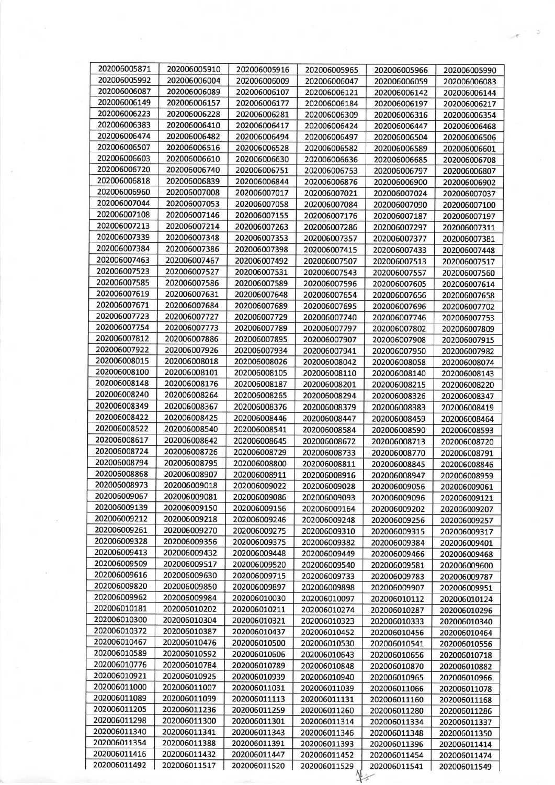| 202006005871 | 202006005910 | 202006005916 | 202006005965                 | 202006005966                 | 202006005990 |
|--------------|--------------|--------------|------------------------------|------------------------------|--------------|
| 202006005992 | 202006006004 | 202006006009 | 202006006047                 | 202006006059                 | 202006006083 |
| 202006006087 | 202006006089 | 202006006107 | 202006006121                 | 202006006142                 | 202006006144 |
| 202006006149 | 202006006157 | 202006006177 | 202006006184                 | 202006006197                 | 202006006217 |
| 202006006223 | 202006006228 | 202006006281 | 202006006309                 | 202006006316                 | 202006006354 |
| 202006006383 | 202006006410 | 202006006417 | 202006006424                 | 202006006447                 | 202006006468 |
| 202006006474 | 202006006482 | 202006006494 | 202006006497                 | 202006006504                 | 202006006506 |
| 202006006507 | 202006006516 | 202006006528 | 202006006582                 | 202006006589                 | 202006006601 |
| 202006006603 | 202006006610 | 202006006630 | 202006006636                 | 202006006685                 | 202006006708 |
| 202006006720 | 202006006740 | 202006006751 | 202006006753                 | 202006006797                 | 202006006807 |
| 202006006818 | 202006006839 | 202006006844 | 202006006876                 | 202006006900                 | 202006006902 |
| 202006006960 | 202006007008 | 202006007017 | 202006007021                 | 202006007024                 | 202006007037 |
| 202006007044 | 202006007053 |              |                              |                              |              |
| 202006007108 |              | 202006007058 | 202006007084                 | 202006007090                 | 202006007100 |
|              | 202006007146 | 202006007155 | 202006007176                 | 202006007187                 | 202006007197 |
| 202006007213 | 202006007214 | 202006007263 | 202006007286                 | 202006007297                 | 202006007311 |
| 202006007339 | 202006007348 | 202006007353 | 202006007357                 | 202006007377                 | 202006007381 |
| 202006007384 | 202006007386 | 202006007398 | 202006007415                 | 202006007433                 | 202006007448 |
| 202006007463 | 202006007467 | 202006007492 | 202006007507                 | 202006007513                 | 202006007517 |
| 202006007523 | 202006007527 | 202006007531 | 202006007543                 | 202006007557                 | 202006007560 |
| 202006007585 | 202006007586 | 202006007589 | 202006007596                 | 202006007605                 | 202006007614 |
| 202006007619 | 202006007631 | 202006007648 | 202006007654                 | 202006007656                 | 202006007658 |
| 202006007671 | 202006007684 | 202006007689 | 202006007695                 | 202006007696                 | 202006007702 |
| 202006007723 | 202006007727 | 202006007729 | 202006007740                 | 202006007746                 | 202006007753 |
| 202006007754 | 202006007773 | 202006007789 | 202006007797                 | 202006007802                 | 202006007809 |
| 202006007812 | 202006007886 | 202006007895 | 202006007907                 | 202006007908                 | 202006007915 |
| 202006007922 | 202006007926 | 202006007934 | 202006007941                 | 202006007950                 | 202006007982 |
| 202006008015 | 202006008018 | 202006008026 | 202006008042                 | 202006008058                 | 202006008074 |
| 202006008100 | 202006008101 | 202006008105 | 202006008110                 | 202006008140                 | 202006008143 |
| 202006008148 | 202006008176 | 202006008187 | 202006008201                 | 202006008215                 | 202006008220 |
| 202006008240 | 202006008264 | 202006008265 | 202006008294                 | 202006008326                 | 202006008347 |
| 202006008349 | 202006008367 | 202006008376 | 202006008379                 | 202006008383                 | 202006008419 |
| 202006008422 | 202006008425 | 202006008446 | 202006008447                 | 202006008459                 | 202006008464 |
| 202006008522 | 202006008540 | 202006008541 | 202006008584                 | 202006008590                 | 202006008593 |
| 202006008617 | 202006008642 | 202006008645 | 202006008672                 | 202006008713                 | 202006008720 |
| 202006008724 | 202006008726 | 202006008729 | 202006008733                 | 202006008770                 | 202006008791 |
| 202006008794 | 202006008795 | 202006008800 | 202006008811                 | 202006008845                 | 202006008846 |
| 202006008868 | 202006008907 | 202006008911 | 202006008916                 | 202006008947                 | 202006008959 |
| 202006008973 | 202006009018 | 202006009022 | 202006009028                 | 202006009056                 | 202006009061 |
| 202006009067 | 202006009081 | 202006009086 | 202006009093                 | 202006009096                 | 202006009121 |
| 202006009139 | 202006009150 | 202006009156 | 202006009164                 | 202006009202                 | 202006009207 |
| 202006009212 | 202006009218 | 202006009246 | 202006009248                 | 202006009256                 | 202006009257 |
| 202006009261 | 202006009270 | 202006009275 | 202006009310                 | 202006009315                 | 202006009317 |
| 202006009328 | 202006009356 | 202006009375 | 202006009382                 | 202006009384                 | 202006009401 |
| 202006009413 | 202006009432 | 202006009448 | 202006009449                 | 202006009466                 |              |
| 202006009509 | 202006009517 | 202006009520 | 202006009540                 | 202006009581                 | 202006009468 |
| 202006009616 | 202006009630 | 202006009715 |                              |                              | 202006009600 |
| 202006009820 | 202006009850 | 202006009897 | 202006009733<br>202006009898 | 202006009783<br>202006009907 | 202006009787 |
| 202006009962 | 202006009984 | 202006010030 |                              |                              | 202006009951 |
| 202006010181 | 202006010202 |              | 202006010097                 | 202006010112                 | 202006010124 |
| 202006010300 | 202006010304 | 202006010211 | 202006010274                 | 202006010287                 | 202006010296 |
| 202006010372 |              | 202006010321 | 202006010323                 | 202006010333                 | 202006010340 |
| 202006010467 | 202006010387 | 202006010437 | 202006010452                 | 202006010456                 | 202006010464 |
| 202006010589 | 202006010476 | 202006010500 | 202006010530                 | 202006010541                 | 202006010556 |
|              | 202006010592 | 202006010606 | 202006010643                 | 202006010656                 | 202006010718 |
| 202006010776 | 202006010784 | 202006010789 | 202006010848                 | 202006010870                 | 202006010882 |
| 202006010921 | 202006010925 | 202006010939 | 202006010940                 | 202006010965                 | 202006010966 |
| 202006011000 | 202006011007 | 202006011031 | 202006011039                 | 202006011066                 | 202006011078 |
| 202006011089 | 202006011099 | 202006011113 | 202006011131                 | 202006011160                 | 202006011168 |
| 202006011205 | 202006011236 | 202006011259 | 202006011260                 | 202006011280                 | 202006011286 |
| 202006011298 | 202006011300 | 202006011301 | 202006011314                 | 202006011334                 | 202006011337 |
| 202006011340 | 202006011341 | 202006011343 | 202006011346                 | 202006011348                 | 202006011350 |
| 202006011354 | 202006011388 | 202006011391 | 202006011393                 | 202006011396                 | 202006011414 |
| 202006011416 | 202006011432 | 202006011447 | 202006011452                 | 202006011454                 | 202006011474 |
| 202006011492 | 202006011517 | 202006011520 | 202006011529                 | 202006011541                 | 202006011549 |
|              |              |              |                              |                              |              |

 $\beta_{\rm s}$